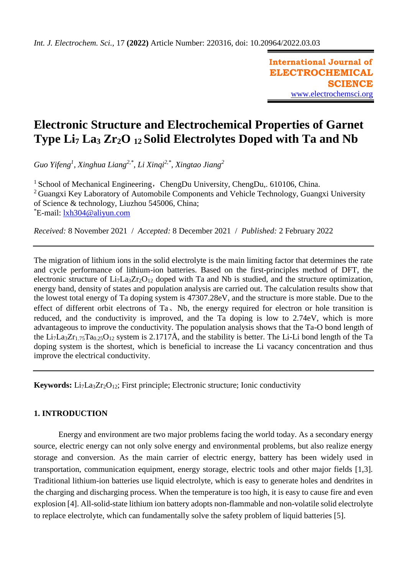**International Journal of ELECTROCHEMICAL SCIENCE** [www.electrochemsci.org](http://www.electrochemsci.org/)

# **Electronic Structure and Electrochemical Properties of Garnet Type Li<sup>7</sup> La<sup>3</sup> Zr2O 12 Solid Electrolytes Doped with Ta and Nb**

*Guo Yifeng<sup>1</sup> , Xinghua Liang2,\*, Li Xinqi2,\*, Xingtao Jiang<sup>2</sup>*

<sup>1</sup> School of Mechanical Engineering, ChengDu University, ChengDu,. 610106, China. <sup>2</sup> Guangxi Key Laboratory of Automobile Components and Vehicle Technology, Guangxi University of Science & technology, Liuzhou 545006, China; \*E-mail: [lxh304@aliyun.com](mailto:lxh304@aliyun.com)

*Received:* 8 November 2021/ *Accepted:* 8 December 2021 / *Published:* 2 February 2022

The migration of lithium ions in the solid electrolyte is the main limiting factor that determines the rate and cycle performance of lithium-ion batteries. Based on the first-principles method of DFT, the electronic structure of Li<sub>7</sub>La<sub>3</sub>Zr<sub>2</sub>O<sub>12</sub> doped with Ta and Nb is studied, and the structure optimization, energy band, density of states and population analysis are carried out. The calculation results show that the lowest total energy of Ta doping system is 47307.28eV, and the structure is more stable. Due to the effect of different orbit electrons of Ta、Nb, the energy required for electron or hole transition is reduced, and the conductivity is improved, and the Ta doping is low to 2.74eV, which is more advantageous to improve the conductivity. The population analysis shows that the Ta-O bond length of the Li<sub>7</sub>La<sub>3</sub>Zr<sub>1.75</sub>Ta<sub>0.25</sub>O<sub>12</sub> system is 2.1717Å, and the stability is better. The Li-Li bond length of the Ta doping system is the shortest, which is beneficial to increase the Li vacancy concentration and thus improve the electrical conductivity.

**Keywords:** Li<sub>7</sub>La<sub>3</sub>Zr<sub>2</sub>O<sub>12</sub>; First principle; Electronic structure; Ionic conductivity

# **1. INTRODUCTION**

Energy and environment are two major problems facing the world today. As a secondary energy source, electric energy can not only solve energy and environmental problems, but also realize energy storage and conversion. As the main carrier of electric energy, battery has been widely used in transportation, communication equipment, energy storage, electric tools and other major fields [1,3]. Traditional lithium-ion batteries use liquid electrolyte, which is easy to generate holes and dendrites in the charging and discharging process. When the temperature is too high, it is easy to cause fire and even explosion [4]. All-solid-state lithium ion battery adopts non-flammable and non-volatile solid electrolyte to replace electrolyte, which can fundamentally solve the safety problem of liquid batteries [5].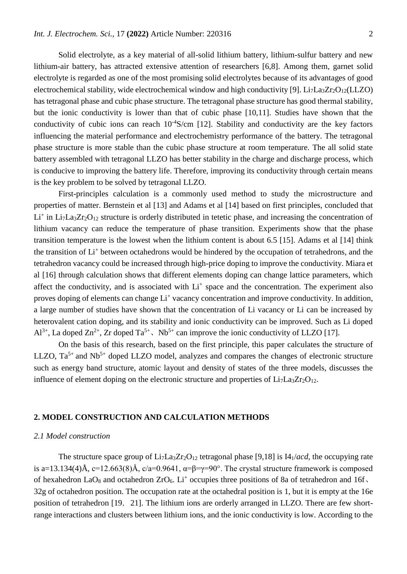Solid electrolyte, as a key material of all-solid lithium battery, lithium-sulfur battery and new lithium-air battery, has attracted extensive attention of researchers [6,8]. Among them, garnet solid electrolyte is regarded as one of the most promising solid electrolytes because of its advantages of good electrochemical stability, wide electrochemical window and high conductivity [9].  $Li<sub>7</sub>La<sub>3</sub>Zr<sub>2</sub>O<sub>12</sub>(LLZO)$ has tetragonal phase and cubic phase structure. The tetragonal phase structure has good thermal stability, but the ionic conductivity is lower than that of cubic phase [10,11]. Studies have shown that the conductivity of cubic ions can reach  $10^{-4}$ S/cm [12]. Stability and conductivity are the key factors influencing the material performance and electrochemistry performance of the battery. The tetragonal phase structure is more stable than the cubic phase structure at room temperature. The all solid state battery assembled with tetragonal LLZO has better stability in the charge and discharge process, which is conducive to improving the battery life. Therefore, improving its conductivity through certain means is the key problem to be solved by tetragonal LLZO.

First-principles calculation is a commonly used method to study the microstructure and properties of matter. Bernstein et al [13] and Adams et al [14] based on first principles, concluded that  $Li<sup>+</sup>$  in  $Li<sub>7</sub>La<sub>3</sub>Zr<sub>2</sub>O<sub>12</sub>$  structure is orderly distributed in tetetic phase, and increasing the concentration of lithium vacancy can reduce the temperature of phase transition. Experiments show that the phase transition temperature is the lowest when the lithium content is about 6.5 [15]. Adams et al [14] think the transition of Li<sup>+</sup> between octahedrons would be hindered by the occupation of tetrahedrons, and the tetrahedron vacancy could be increased through high-price doping to improve the conductivity. Miara et al [16] through calculation shows that different elements doping can change lattice parameters, which affect the conductivity, and is associated with Li<sup>+</sup> space and the concentration. The experiment also proves doping of elements can change Li<sup>+</sup> vacancy concentration and improve conductivity. In addition, a large number of studies have shown that the concentration of Li vacancy or Li can be increased by heterovalent cation doping, and its stability and ionic conductivity can be improved. Such as Li doped  $Al^{3+}$ , La doped  $Zn^{2+}$ , Zr doped  $Ta^{5+}$ ,  $Nb^{5+}$  can improve the ionic conductivity of LLZO [17].

On the basis of this research, based on the first principle, this paper calculates the structure of LLZO,  $Ta^{5+}$  and Nb<sup>5+</sup> doped LLZO model, analyzes and compares the changes of electronic structure such as energy band structure, atomic layout and density of states of the three models, discusses the influence of element doping on the electronic structure and properties of  $Li<sub>7</sub>La<sub>3</sub>Zr<sub>2</sub>O<sub>12</sub>$ .

# **2. MODEL CONSTRUCTION AND CALCULATION METHODS**

### *2.1 Model construction*

The structure space group of  $Li<sub>7</sub>La<sub>3</sub>Zr<sub>2</sub>O<sub>12</sub>$  tetragonal phase [9,18] is I4<sub>1</sub>/*acd*, the occupying rate is a=13.134(4)Å, c=12.663(8)Å, c/a=0.9641,  $\alpha$ = $\beta$ = $\gamma$ = $90^{\circ}$ . The crystal structure framework is composed of hexahedron LaO<sub>8</sub> and octahedron  $ZrO_6$ . Li<sup>+</sup> occupies three positions of 8a of tetrahedron and 16f, 32g of octahedron position. The occupation rate at the octahedral position is 1, but it is empty at the 16e position of tetrahedron [19, 21]. The lithium ions are orderly arranged in LLZO. There are few shortrange interactions and clusters between lithium ions, and the ionic conductivity is low. According to the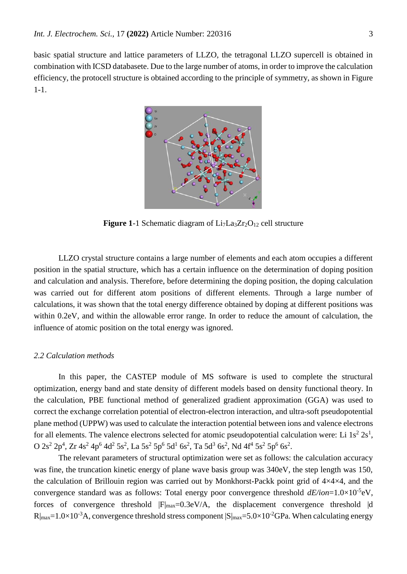basic spatial structure and lattice parameters of LLZO, the tetragonal LLZO supercell is obtained in combination with ICSD databasete. Due to the large number of atoms, in order to improve the calculation efficiency, the protocell structure is obtained according to the principle of symmetry, as shown in Figure 1-1.



**Figure 1-1 Schematic diagram of Li<sub>7</sub>La<sub>3</sub>Zr<sub>2</sub>O<sub>12</sub> cell structure** 

LLZO crystal structure contains a large number of elements and each atom occupies a different position in the spatial structure, which has a certain influence on the determination of doping position and calculation and analysis. Therefore, before determining the doping position, the doping calculation was carried out for different atom positions of different elements. Through a large number of calculations, it was shown that the total energy difference obtained by doping at different positions was within 0.2eV, and within the allowable error range. In order to reduce the amount of calculation, the influence of atomic position on the total energy was ignored.

#### *2.2 Calculation methods*

In this paper, the CASTEP module of MS software is used to complete the structural optimization, energy band and state density of different models based on density functional theory. In the calculation, PBE functional method of generalized gradient approximation (GGA) was used to correct the exchange correlation potential of electron-electron interaction, and ultra-soft pseudopotential plane method (UPPW) was used to calculate the interaction potential between ions and valence electrons for all elements. The valence electrons selected for atomic pseudopotential calculation were: Li  $1s^2 2s^1$ , O 2s<sup>2</sup> 2p<sup>4</sup>, Zr 4s<sup>2</sup> 4p<sup>6</sup> 4d<sup>2</sup> 5s<sup>2</sup>, La 5s<sup>2</sup> 5p<sup>6</sup> 5d<sup>1</sup> 6s<sup>2</sup>, Ta 5d<sup>3</sup> 6s<sup>2</sup>, Nd 4f<sup>4</sup> 5s<sup>2</sup> 5p<sup>6</sup> 6s<sup>2</sup>.

The relevant parameters of structural optimization were set as follows: the calculation accuracy was fine, the truncation kinetic energy of plane wave basis group was 340eV, the step length was 150, the calculation of Brillouin region was carried out by Monkhorst-Packk point grid of 4×4×4, and the convergence standard was as follows: Total energy poor convergence threshold  $dE/ion = 1.0 \times 10^{-5}$ eV, forces of convergence threshold  $|F|_{max}=0.3eV/A$ , the displacement convergence threshold |d  $R|_{\text{max}}=1.0\times10^{-3}$ A, convergence threshold stress component  $|S|_{\text{max}}=5.0\times10^{-2}$ GPa. When calculating energy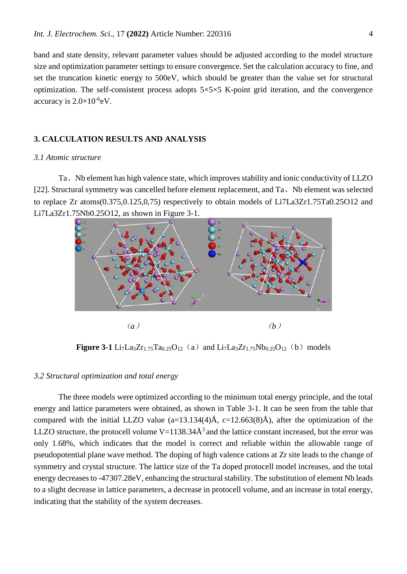band and state density, relevant parameter values should be adjusted according to the model structure size and optimization parameter settings to ensure convergence. Set the calculation accuracy to fine, and set the truncation kinetic energy to 500eV, which should be greater than the value set for structural optimization. The self-consistent process adopts  $5\times5\times5$  K-point grid iteration, and the convergence accuracy is  $2.0 \times 10^{-6}$ eV.

## **3. CALCULATION RESULTS AND ANALYSIS**

#### *3.1 Atomic structure*

Ta、Nb element has high valence state, which improves stability and ionic conductivity of LLZO [22]. Structural symmetry was cancelled before element replacement, and Ta, Nb element was selected to replace Zr atoms(0.375,0.125,0,75) respectively to obtain models of Li7La3Zr1.75Ta0.25O12 and Li7La3Zr1.75Nb0.25O12, as shown in Figure 3-1.



**Figure 3-1** Li<sub>7</sub>La<sub>3</sub>Zr<sub>1.75</sub>Ta<sub>0.25</sub>O<sub>12</sub> (a) and Li<sub>7</sub>La<sub>3</sub>Zr<sub>1.75</sub>Nb<sub>0.25</sub>O<sub>12</sub> (b) models

## *3.2 Structural optimization and total energy*

The three models were optimized according to the minimum total energy principle, and the total energy and lattice parameters were obtained, as shown in Table 3-1. It can be seen from the table that compared with the initial LLZO value  $(a=13.134(4)$ Å,  $c=12.663(8)$ Å), after the optimization of the LLZO structure, the protocell volume  $V=1138.34\text{\AA}^3$  and the lattice constant increased, but the error was only 1.68%, which indicates that the model is correct and reliable within the allowable range of pseudopotential plane wave method. The doping of high valence cations at Zr site leads to the change of symmetry and crystal structure. The lattice size of the Ta doped protocell model increases, and the total energy decreases to -47307.28eV, enhancing the structural stability. The substitution of element Nb leads to a slight decrease in lattice parameters, a decrease in protocell volume, and an increase in total energy, indicating that the stability of the system decreases.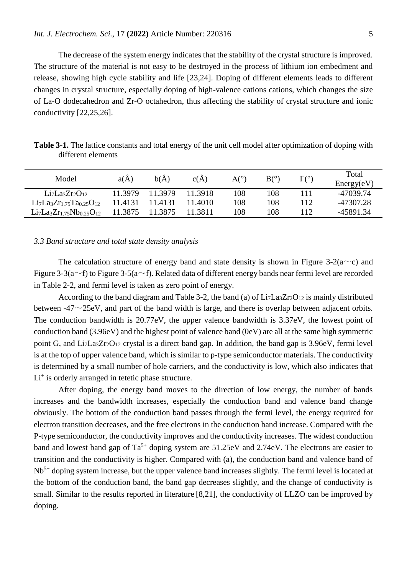The decrease of the system energy indicates that the stability of the crystal structure is improved. The structure of the material is not easy to be destroyed in the process of lithium ion embedment and release, showing high cycle stability and life [23,24]. Doping of different elements leads to different changes in crystal structure, especially doping of high-valence cations cations, which changes the size of La-O dodecahedron and Zr-O octahedron, thus affecting the stability of crystal structure and ionic conductivity [22,25,26].

| Model                              | $a(\AA)$ | b(A)    | c(A)    | A(°) | $B(^\circ)$ | $\Gamma$ <sup>(<math>\circ</math></sup> ) | Total<br>Energy(eV) |
|------------------------------------|----------|---------|---------|------|-------------|-------------------------------------------|---------------------|
| $Li7La3Zr2O12$                     | 11.3979  | 11 3979 | 11.3918 | 108  | 108         |                                           | -47039.74           |
| $Li7La3Zr1.75Ta0.25O12$            | 11.4131  | 11.4131 | 11.4010 | 108  | 108         | 112                                       | -47307.28           |
| $Li_7La_3Zr_{1.75}Nb_{0.25}O_{12}$ | 11.3875  | 11.3875 | 1.3811  | 108  | 108         | 12                                        | -45891.34           |

**Table 3-1.** The lattice constants and total energy of the unit cell model after optimization of doping with different elements

#### *3.3 Band structure and total state density analysis*

The calculation structure of energy band and state density is shown in Figure 3-2( $a\sim c$ ) and Figure 3-3(a $\sim$ f) to Figure 3-5(a $\sim$ f). Related data of different energy bands near fermi level are recorded in Table 2-2, and fermi level is taken as zero point of energy.

According to the band diagram and Table 3-2, the band (a) of  $Li<sub>7</sub>La<sub>3</sub>Zr<sub>2</sub>O<sub>12</sub>$  is mainly distributed between  $-47\sim25$ eV, and part of the band width is large, and there is overlap between adjacent orbits. The conduction bandwidth is 20.77eV, the upper valence bandwidth is 3.37eV, the lowest point of conduction band (3.96eV) and the highest point of valence band (0eV) are all at the same high symmetric point G, and  $Li<sub>7</sub>La<sub>3</sub>Zr<sub>2</sub>O<sub>12</sub>$  crystal is a direct band gap. In addition, the band gap is 3.96eV, fermi level is at the top of upper valence band, which is similar to p-type semiconductor materials. The conductivity is determined by a small number of hole carriers, and the conductivity is low, which also indicates that Li<sup>+</sup> is orderly arranged in tetetic phase structure.

After doping, the energy band moves to the direction of low energy, the number of bands increases and the bandwidth increases, especially the conduction band and valence band change obviously. The bottom of the conduction band passes through the fermi level, the energy required for electron transition decreases, and the free electrons in the conduction band increase. Compared with the P-type semiconductor, the conductivity improves and the conductivity increases. The widest conduction band and lowest band gap of  $Ta^{5+}$  doping system are  $51.25eV$  and  $2.74eV$ . The electrons are easier to transition and the conductivity is higher. Compared with (a), the conduction band and valence band of Nb<sup>5+</sup> doping system increase, but the upper valence band increases slightly. The fermi level is located at the bottom of the conduction band, the band gap decreases slightly, and the change of conductivity is small. Similar to the results reported in literature [8,21], the conductivity of LLZO can be improved by doping.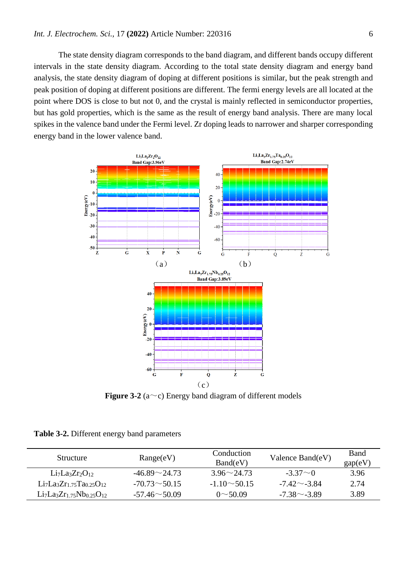The state density diagram corresponds to the band diagram, and different bands occupy different intervals in the state density diagram. According to the total state density diagram and energy band analysis, the state density diagram of doping at different positions is similar, but the peak strength and peak position of doping at different positions are different. The fermi energy levels are all located at the point where DOS is close to but not 0, and the crystal is mainly reflected in semiconductor properties, but has gold properties, which is the same as the result of energy band analysis. There are many local spikes in the valence band under the Fermi level. Zr doping leads to narrower and sharper corresponding energy band in the lower valence band.



**Figure 3-2** ( $a \sim c$ ) Energy band diagram of different models

|  |  |  |  | Table 3-2. Different energy band parameters |
|--|--|--|--|---------------------------------------------|
|--|--|--|--|---------------------------------------------|

| Structure               | Range(eV)           | Conduction<br>Band(eV) | Valence Band(eV)   | <b>Band</b><br>gap(eV) |
|-------------------------|---------------------|------------------------|--------------------|------------------------|
| $Li7La3Zr2O12$          | $-46.89 \sim 24.73$ | $3.96 \sim 24.73$      | $-3.37\sim 0$      | 3.96                   |
| $Li7La3Zr1.75Ta0.25O12$ | $-70.73 \sim 50.15$ | $-1.10 \sim 50.15$     | $-7.42 \sim -3.84$ | 2.74                   |
| $Li7La3Zr1.75Nb0.25O12$ | $-57.46 \sim 50.09$ | $0 \sim 50.09$         | $-7.38\sim -3.89$  | 3.89                   |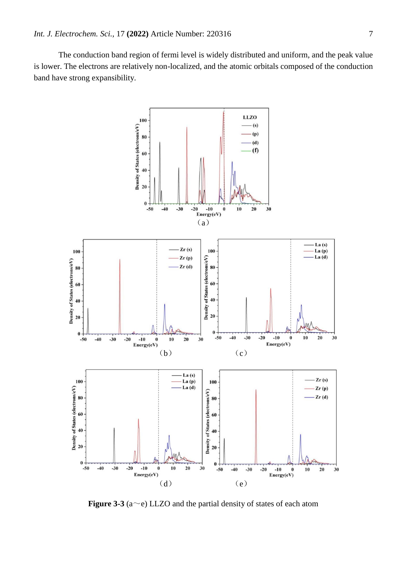The conduction band region of fermi level is widely distributed and uniform, and the peak value is lower. The electrons are relatively non-localized, and the atomic orbitals composed of the conduction band have strong expansibility.



**Figure** 3-3 ( $a \sim e$ ) LLZO and the partial density of states of each atom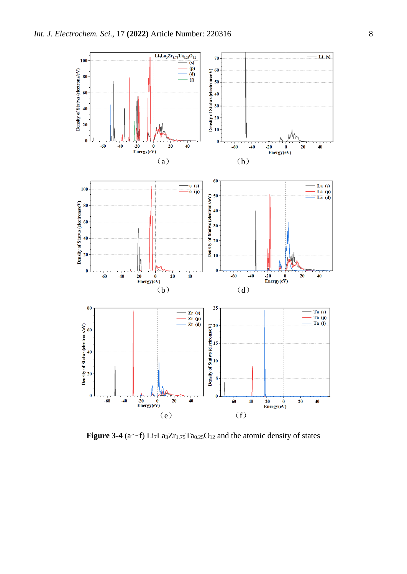

**Figure 3-4** ( $a$   $\sim$  f) Li<sub>7</sub>La<sub>3</sub>Zr<sub>1.75</sub>Ta<sub>0.25</sub>O<sub>12</sub> and the atomic density of states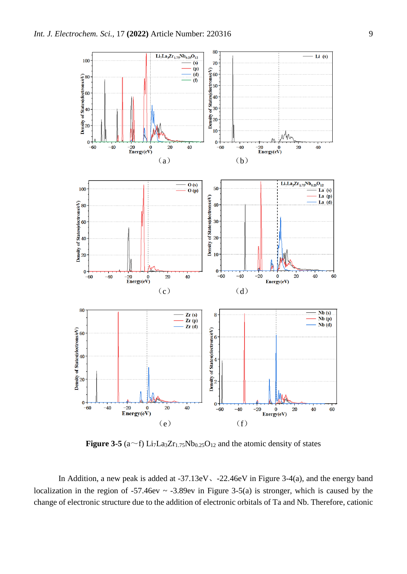

**Figure** 3-5 ( $a$   $\sim$  f) Li<sub>7</sub>La<sub>3</sub>Zr<sub>1.75</sub>Nb<sub>0.25</sub>O<sub>12</sub> and the atomic density of states

In Addition, a new peak is added at -37.13eV、-22.46eV in Figure 3-4(a), and the energy band localization in the region of  $-57.46$ ev ~  $-3.89$ ev in Figure 3-5(a) is stronger, which is caused by the change of electronic structure due to the addition of electronic orbitals of Ta and Nb. Therefore, cationic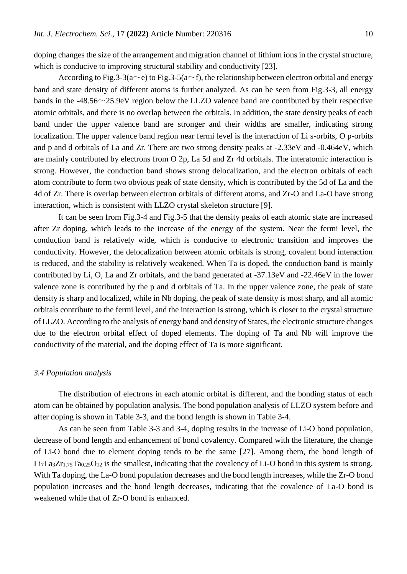doping changes the size of the arrangement and migration channel of lithium ions in the crystal structure, which is conducive to improving structural stability and conductivity [23].

According to Fig.3-3(a~e) to Fig.3-5(a~f), the relationship between electron orbital and energy band and state density of different atoms is further analyzed. As can be seen from Fig.3-3, all energy bands in the -48.56~25.9eV region below the LLZO valence band are contributed by their respective atomic orbitals, and there is no overlap between the orbitals. In addition, the state density peaks of each band under the upper valence band are stronger and their widths are smaller, indicating strong localization. The upper valence band region near fermi level is the interaction of Li s-orbits, O p-orbits and p and d orbitals of La and Zr. There are two strong density peaks at -2.33eV and -0.464eV, which are mainly contributed by electrons from O 2p, La 5d and Zr 4d orbitals. The interatomic interaction is strong. However, the conduction band shows strong delocalization, and the electron orbitals of each atom contribute to form two obvious peak of state density, which is contributed by the 5d of La and the 4d of Zr. There is overlap between electron orbitals of different atoms, and Zr-O and La-O have strong interaction, which is consistent with LLZO crystal skeleton structure [9].

It can be seen from Fig.3-4 and Fig.3-5 that the density peaks of each atomic state are increased after Zr doping, which leads to the increase of the energy of the system. Near the fermi level, the conduction band is relatively wide, which is conducive to electronic transition and improves the conductivity. However, the delocalization between atomic orbitals is strong, covalent bond interaction is reduced, and the stability is relatively weakened. When Ta is doped, the conduction band is mainly contributed by Li, O, La and Zr orbitals, and the band generated at -37.13eV and -22.46eV in the lower valence zone is contributed by the p and d orbitals of Ta. In the upper valence zone, the peak of state density is sharp and localized, while in Nb doping, the peak of state density is most sharp, and all atomic orbitals contribute to the fermi level, and the interaction is strong, which is closer to the crystal structure of LLZO. According to the analysis of energy band and density of States, the electronic structure changes due to the electron orbital effect of doped elements. The doping of Ta and Nb will improve the conductivity of the material, and the doping effect of Ta is more significant.

#### *3.4 Population analysis*

The distribution of electrons in each atomic orbital is different, and the bonding status of each atom can be obtained by population analysis. The bond population analysis of LLZO system before and after doping is shown in Table 3-3, and the bond length is shown in Table 3-4.

As can be seen from Table 3-3 and 3-4, doping results in the increase of Li-O bond population, decrease of bond length and enhancement of bond covalency. Compared with the literature, the change of Li-O bond due to element doping tends to be the same [27]. Among them, the bond length of  $Li<sub>7</sub>La<sub>3</sub>Zr<sub>1.75</sub>Ta<sub>0.25</sub>O<sub>12</sub>$  is the smallest, indicating that the covalency of Li-O bond in this system is strong. With Ta doping, the La-O bond population decreases and the bond length increases, while the Zr-O bond population increases and the bond length decreases, indicating that the covalence of La-O bond is weakened while that of Zr-O bond is enhanced.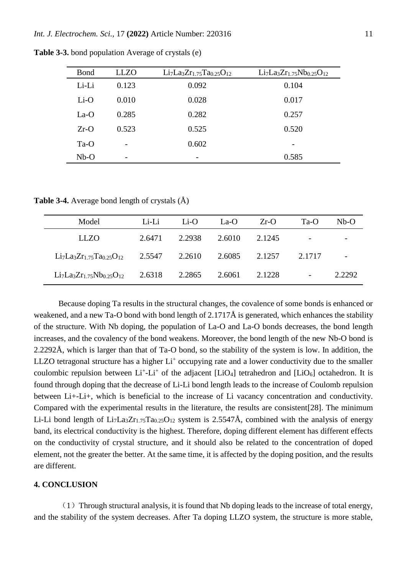| <b>Bond</b> | <b>LLZO</b>              | $Li7La3Zr1.75Ta0.25O12$ | $Li7La3Zr1.75Nb0.25O12$  |
|-------------|--------------------------|-------------------------|--------------------------|
| Li-Li       | 0.123                    | 0.092                   | 0.104                    |
| $Li-O$      | 0.010                    | 0.028                   | 0.017                    |
| $La-O$      | 0.285                    | 0.282                   | 0.257                    |
| $Zr-O$      | 0.523                    | 0.525                   | 0.520                    |
| $Ta-O$      | $\overline{\phantom{0}}$ | 0.602                   | $\overline{\phantom{a}}$ |
| $Nb-O$      | $\overline{\phantom{a}}$ | -                       | 0.585                    |

**Table 3-3.** bond population Average of crystals (e)

**Table 3-4.** Average bond length of crystals (Å)

| Model                   | Li-Li  | Li-O   | La-O   | $Zr-O$ | $Ta-O$                   | $Nb-O$                   |
|-------------------------|--------|--------|--------|--------|--------------------------|--------------------------|
| LLZO                    | 2.6471 | 2.2938 | 2.6010 | 2.1245 | -                        | $\overline{\phantom{0}}$ |
| $Li7La3Zr1.75Ta0.25O12$ | 2.5547 | 2.2610 | 2.6085 | 2.1257 | 2.1717                   | $\overline{\phantom{a}}$ |
| $Li7La3Zr1.75Nb0.25O12$ | 2.6318 | 2.2865 | 2.6061 | 2.1228 | $\overline{\phantom{a}}$ | 2.2292                   |

Because doping Ta results in the structural changes, the covalence of some bonds is enhanced or weakened, and a new Ta-O bond with bond length of 2.1717Å is generated, which enhances the stability of the structure. With Nb doping, the population of La-O and La-O bonds decreases, the bond length increases, and the covalency of the bond weakens. Moreover, the bond length of the new Nb-O bond is 2.2292Å, which is larger than that of Ta-O bond, so the stability of the system is low. In addition, the LLZO tetragonal structure has a higher  $Li<sup>+</sup>$  occupying rate and a lower conductivity due to the smaller coulombic repulsion between  $Li^+$ - $Li^+$  of the adjacent [LiO<sub>4</sub>] tetrahedron and [LiO<sub>6</sub>] octahedron. It is found through doping that the decrease of Li-Li bond length leads to the increase of Coulomb repulsion between Li+-Li+, which is beneficial to the increase of Li vacancy concentration and conductivity. Compared with the experimental results in the literature, the results are consistent[28]. The minimum Li-Li bond length of Li<sub>7</sub>La<sub>3</sub>Zr<sub>1.75</sub>Ta<sub>0.25</sub>O<sub>12</sub> system is 2.5547Å, combined with the analysis of energy band, its electrical conductivity is the highest. Therefore, doping different element has different effects on the conductivity of crystal structure, and it should also be related to the concentration of doped element, not the greater the better. At the same time, it is affected by the doping position, and the results are different.

#### **4. CONCLUSION**

 $(1)$  Through structural analysis, it is found that Nb doping leads to the increase of total energy, and the stability of the system decreases. After Ta doping LLZO system, the structure is more stable,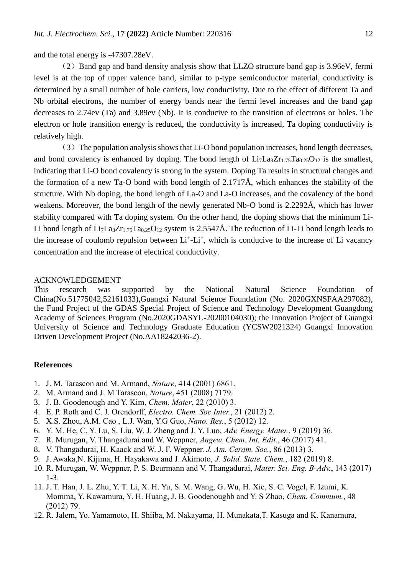and the total energy is -47307.28eV.

 $(2)$  Band gap and band density analysis show that LLZO structure band gap is 3.96eV, fermi level is at the top of upper valence band, similar to p-type semiconductor material, conductivity is determined by a small number of hole carriers, low conductivity. Due to the effect of different Ta and Nb orbital electrons, the number of energy bands near the fermi level increases and the band gap decreases to 2.74ev (Ta) and 3.89ev (Nb). It is conducive to the transition of electrons or holes. The electron or hole transition energy is reduced, the conductivity is increased, Ta doping conductivity is relatively high.

 $(3)$  The population analysis shows that Li-O bond population increases, bond length decreases, and bond covalency is enhanced by doping. The bond length of  $Li<sub>7</sub>La<sub>3</sub>Zr<sub>1.75</sub>Ta<sub>0.25</sub>O<sub>12</sub>$  is the smallest, indicating that Li-O bond covalency is strong in the system. Doping Ta results in structural changes and the formation of a new Ta-O bond with bond length of 2.1717Å, which enhances the stability of the structure. With Nb doping, the bond length of La-O and La-O increases, and the covalency of the bond weakens. Moreover, the bond length of the newly generated Nb-O bond is 2.2292Å, which has lower stability compared with Ta doping system. On the other hand, the doping shows that the minimum Li-Li bond length of  $Li_7La_3Zr_{1.75}Ta_{0.25}O_{12}$  system is 2.5547Å. The reduction of Li-Li bond length leads to the increase of coulomb repulsion between Li<sup>+</sup>-Li<sup>+</sup>, which is conducive to the increase of Li vacancy concentration and the increase of electrical conductivity.

# ACKNOWLEDGEMENT

This research was supported by the National Natural Science Foundation of China(No.51775042,52161033),Guangxi Natural Science Foundation (No. 2020GXNSFAA297082), the Fund Project of the GDAS Special Project of Science and Technology Development Guangdong Academy of Sciences Program (No.2020GDASYL-20200104030); the Innovation Project of Guangxi University of Science and Technology Graduate Education (YCSW2021324) Guangxi Innovation Driven Development Project (No.AA18242036-2).

#### **References**

- 1. J. M. Tarascon and M. Armand, *Nature*, 414 (2001) 6861.
- 2. M. Armand and J. M Tarascon, *Nature*, 451 (2008) 7179.
- 3. J. B. Goodenough and Y. Kim, *Chem. Mater*, 22 (2010) 3.
- 4. E. P. Roth and C. J. Orendorff, *Electro. Chem. Soc Inter.*, 21 (2012) 2.
- 5. X.S. Zhou, A.M. Cao , L.J. Wan, Y.G Guo, *Nano. Res.*, 5 (2012) 12.
- 6. Y. M. He, C. Y. Lu, S. Liu, W. J. Zheng and J. Y. Luo, *Adv. Energy. Mater.*, 9 (2019) 36.
- 7. R. Murugan, V. Thangadurai and W. Weppner, *Angew. Chem. Int. Edit.*, 46 (2017) 41.
- 8. V. Thangadurai, H. Kaack and W. J. F. Weppner. *J. Am. Ceram. Soc.*, 86 (2013) 3.
- 9. J. Awaka,N. Kijima, H. Hayakawa and J. Akimoto, *J. Solid. State. Chem.*, 182 (2019) 8.
- 10. R. Murugan, W. Weppner, P. S. Beurmann and V. Thangadurai, *Mater. Sci. Eng. B-Adv.*, 143 (2017) 1-3.
- 11. J. T. Han, J. L. Zhu, Y. T. Li, X. H. Yu, S. M. Wang, G. Wu, H. Xie, S. C. Vogel, F. Izumi, K. Momma, Y. Kawamura, Y. H. Huang, J. B. Goodenoughb and Y. S Zhao, *Chem. Commum.*, 48 (2012) 79.
- 12. R. Jalem, Yo. Yamamoto, H. Shiiba, M. Nakayama, H. Munakata,T. Kasuga and K. Kanamura,